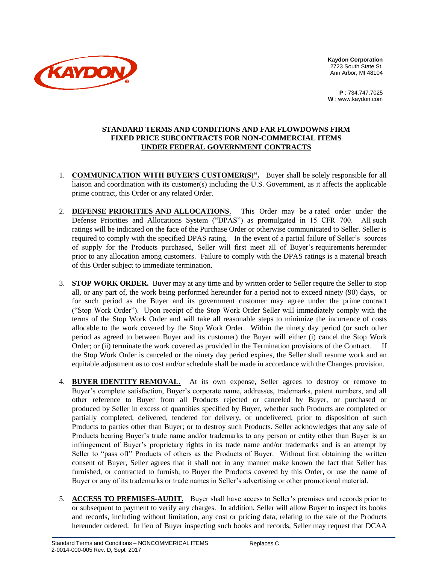

**Kaydon Corporation** 2723 South State St. Ann Arbor, MI 48104

**P** : 734.747.7025 **W** : [www.kaydon.com](http://www.kaydon.com/)

## **STANDARD TERMS AND CONDITIONS AND FAR FLOWDOWNS FIRM FIXED PRICE SUBCONTRACTS FOR NON-COMMERCIAL ITEMS UNDER FEDERAL GOVERNMENT CONTRACTS**

- 1. **COMMUNICATION WITH BUYER'S CUSTOMER(S)".** Buyer shall be solely responsible for all liaison and coordination with its customer(s) including the U.S. Government, as it affects the applicable prime contract, this Order or any related Order.
- 2. **DEFENSE PRIORITIES AND ALLOCATIONS**. This Order may be a rated order under the Defense Priorities and Allocations System ("DPAS") as promulgated in 15 CFR 700. All such ratings will be indicated on the face of the Purchase Order or otherwise communicated to Seller. Seller is required to comply with the specified DPAS rating. In the event of a partial failure of Seller's sources of supply for the Products purchased, Seller will first meet all of Buyer's requirements hereunder prior to any allocation among customers. Failure to comply with the DPAS ratings is a material breach of this Order subject to immediate termination.
- 3. **STOP WORK ORDER.** Buyer may at any time and by written order to Seller require the Seller to stop all, or any part of, the work being performed hereunder for a period not to exceed ninety (90) days, or for such period as the Buyer and its government customer may agree under the prime contract ("Stop Work Order"). Upon receipt of the Stop Work Order Seller will immediately comply with the terms of the Stop Work Order and will take all reasonable steps to minimize the incurrence of costs allocable to the work covered by the Stop Work Order. Within the ninety day period (or such other period as agreed to between Buyer and its customer) the Buyer will either (i) cancel the Stop Work Order; or (ii) terminate the work covered as provided in the Termination provisions of the Contract. If the Stop Work Order is canceled or the ninety day period expires, the Seller shall resume work and an equitable adjustment as to cost and/or schedule shall be made in accordance with the Changes provision.
- 4. **BUYER IDENTITY REMOVAL.** At its own expense, Seller agrees to destroy or remove to Buyer's complete satisfaction, Buyer's corporate name, addresses, trademarks, patent numbers, and all other reference to Buyer from all Products rejected or canceled by Buyer, or purchased or produced by Seller in excess of quantities specified by Buyer, whether such Products are completed or partially completed, delivered, tendered for delivery, or undelivered, prior to disposition of such Products to parties other than Buyer; or to destroy such Products. Seller acknowledges that any sale of Products bearing Buyer's trade name and/or trademarks to any person or entity other than Buyer is an infringement of Buyer's proprietary rights in its trade name and/or trademarks and is an attempt by Seller to "pass off" Products of others as the Products of Buyer. Without first obtaining the written consent of Buyer, Seller agrees that it shall not in any manner make known the fact that Seller has furnished, or contracted to furnish, to Buyer the Products covered by this Order, or use the name of Buyer or any of its trademarks or trade names in Seller's advertising or other promotional material.
- 5. **ACCESS TO PREMISES-AUDIT**. Buyer shall have access to Seller's premises and records prior to or subsequent to payment to verify any charges. In addition, Seller will allow Buyer to inspect its books and records, including without limitation, any cost or pricing data, relating to the sale of the Products hereunder ordered. In lieu of Buyer inspecting such books and records, Seller may request that DCAA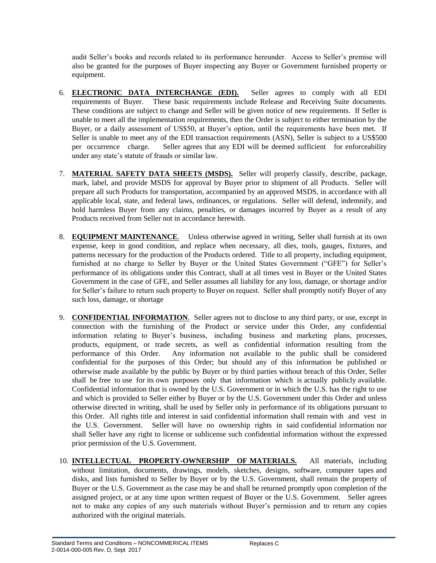audit Seller's books and records related to its performance hereunder. Access to Seller's premise will also be granted for the purposes of Buyer inspecting any Buyer or Government furnished property or equipment.

- 6. **ELECTRONIC DATA INTERCHANGE (EDI).** Seller agrees to comply with all EDI requirements of Buyer. These basic requirements include Release and Receiving Suite documents. These conditions are subject to change and Seller will be given notice of new requirements. If Seller is unable to meet all the implementation requirements, then the Order is subject to either termination by the Buyer, or a daily assessment of US\$50, at Buyer's option, until the requirements have been met. If Seller is unable to meet any of the EDI transaction requirements (ASN), Seller is subject to a US\$500 per occurrence charge. Seller agrees that any EDI will be deemed sufficient for enforceability under any state's statute of frauds or similar law.
- 7. **MATERIAL SAFETY DATA SHEETS (MSDS).** Seller will properly classify, describe, package, mark, label, and provide MSDS for approval by Buyer prior to shipment of all Products. Seller will prepare all such Products for transportation, accompanied by an approved MSDS, in accordance with all applicable local, state, and federal laws, ordinances, or regulations. Seller will defend, indemnify, and hold harmless Buyer from any claims, penalties, or damages incurred by Buyer as a result of any Products received from Seller not in accordance herewith.
- 8. **EQUIPMENT MAINTENANCE**. Unless otherwise agreed in writing, Seller shall furnish at its own expense, keep in good condition, and replace when necessary, all dies, tools, gauges, fixtures, and patterns necessary for the production of the Products ordered. Title to all property, including equipment, furnished at no charge to Seller by Buyer or the United States Government ("GFE") for Seller's performance of its obligations under this Contract, shall at all times vest in Buyer or the United States Government in the case of GFE, and Seller assumes all liability for any loss, damage, or shortage and/or for Seller's failure to return such property to Buyer on request. Seller shall promptly notify Buyer of any such loss, damage, or shortage
- 9. **CONFIDENTIAL INFORMATION**. Seller agrees not to disclose to any third party, or use, except in connection with the furnishing of the Product or service under this Order, any confidential information relating to Buyer's business, including business and marketing plans, processes, products, equipment, or trade secrets, as well as confidential information resulting from the performance of this Order. Any information not available to the public shall be considered confidential for the purposes of this Order; but should any of this information be published or otherwise made available by the public by Buyer or by third parties without breach of this Order, Seller shall be free to use for its own purposes only that information which is actually publicly available. Confidential information that is owned by the U.S. Government or in which the U.S. has the right to use and which is provided to Seller either by Buyer or by the U.S. Government under this Order and unless otherwise directed in writing, shall be used by Seller only in performance of its obligations pursuant to this Order. All rights title and interest in said confidential information shall remain with and vest in the U.S. Government. Seller will have no ownership rights in said confidential information nor shall Seller have any right to license or sublicense such confidential information without the expressed prior permission of the U.S. Government.
- 10. **INTELLECTUAL PROPERTY-OWNERSHIP OF MATERIALS.** All materials, including without limitation, documents, drawings, models, sketches, designs, software, computer tapes and disks, and lists furnished to Seller by Buyer or by the U.S. Government, shall remain the property of Buyer or the U.S. Government as the case may be and shall be returned promptly upon completion of the assigned project, or at any time upon written request of Buyer or the U.S. Government. Seller agrees not to make any copies of any such materials without Buyer's permission and to return any copies authorized with the original materials.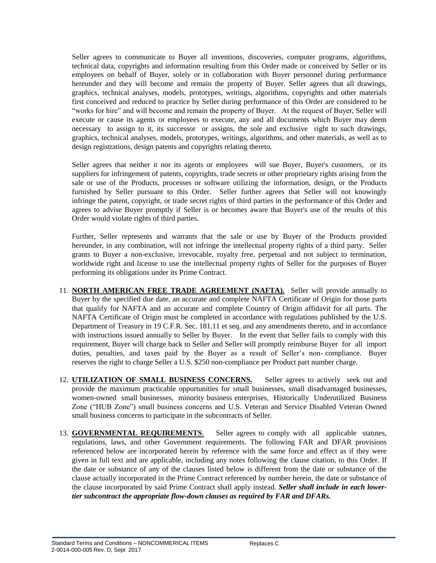Seller agrees to communicate to Buyer all inventions, discoveries, computer programs, algorithms, technical data, copyrights and information resulting from this Order made or conceived by Seller or its employees on behalf of Buyer, solely or in collaboration with Buyer personnel during performance hereunder and they will become and remain the property of Buyer. Seller agrees that all drawings, graphics, technical analyses, models, prototypes, writings, algorithms, copyrights and other materials first conceived and reduced to practice by Seller during performance of this Order are considered to be "works for hire" and will become and remain the property of Buyer. At the request of Buyer, Seller will execute or cause its agents or employees to execute, any and all documents which Buyer may deem necessary to assign to it, its successor or assigns, the sole and exclusive right to such drawings, graphics, technical analyses, models, prototypes, writings, algorithms, and other materials, as well as to design registrations, design patents and copyrights relating thereto.

Seller agrees that neither it nor its agents or employees will sue Buyer, Buyer's customers, or its suppliers for infringement of patents, copyrights, trade secrets or other proprietary rights arising from the sale or use of the Products, processes or software utilizing the information, design, or the Products furnished by Seller pursuant to this Order. Seller further agrees that Seller will not knowingly infringe the patent, copyright, or trade secret rights of third parties in the performance of this Order and agrees to advise Buyer promptly if Seller is or becomes aware that Buyer's use of the results of this Order would violate rights of third parties.

Further, Seller represents and warrants that the sale or use by Buyer of the Products provided hereunder, in any combination, will not infringe the intellectual property rights of a third party. Seller grants to Buyer a non-exclusive, irrevocable, royalty free, perpetual and not subject to termination, worldwide right and license to use the intellectual property rights of Seller for the purposes of Buyer performing its obligations under its Prime Contract.

- 11. **NORTH AMERICAN FREE TRADE AGREEMENT (NAFTA).** Seller will provide annually to Buyer by the specified due date, an accurate and complete NAFTA Certificate of Origin for those parts that qualify for NAFTA and an accurate and complete Country of Origin affidavit for all parts. The NAFTA Certificate of Origin must be completed in accordance with regulations published by the U.S. Department of Treasury in 19 C.F.R. Sec. 181.11 et seq. and any amendments thereto, and in accordance with instructions issued annually to Seller by Buyer. In the event that Seller fails to comply with this requirement, Buyer will charge back to Seller and Seller will promptly reimburse Buyer for all import duties, penalties, and taxes paid by the Buyer as a result of Seller's non- compliance. Buyer reserves the right to charge Seller a U.S. \$250 non-compliance per Product part number charge.
- 12. **UTILIZATION OF SMALL BUSINESS CONCERNS.** Seller agrees to actively seek out and provide the maximum practicable opportunities for small businesses, small disadvantaged businesses, women-owned small businesses, minority business enterprises, Historically Underutilized Business Zone ("HUB Zone") small business concerns and U.S. Veteran and Service Disabled Veteran Owned small business concerns to participate in the subcontracts of Seller.
- 13. **GOVERNMENTAL REQUIREMENTS**. Seller agrees to comply with all applicable statutes, regulations, laws, and other Government requirements. The following FAR and DFAR provisions referenced below are incorporated herein by reference with the same force and effect as if they were given in full text and are applicable, including any notes following the clause citation, to this Order. If the date or substance of any of the clauses listed below is different from the date or substance of the clause actually incorporated in the Prime Contract referenced by number herein, the date or substance of the clause incorporated by said Prime Contract shall apply instead. *Seller shall include in each lowertier subcontract the appropriate flow-down clauses as required by FAR and DFARs.*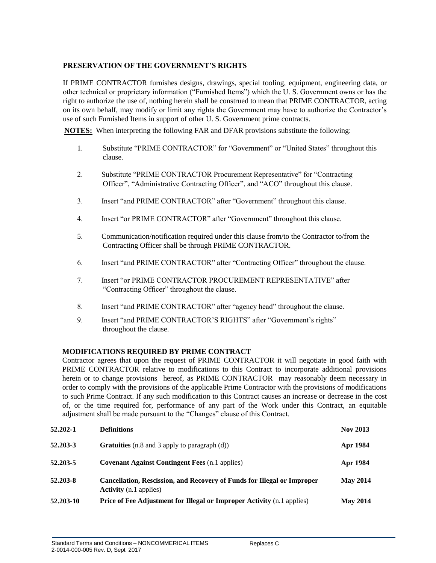## **PRESERVATION OF THE GOVERNMENT'S RIGHTS**

If PRIME CONTRACTOR furnishes designs, drawings, special tooling, equipment, engineering data, or other technical or proprietary information ("Furnished Items") which the U. S. Government owns or has the right to authorize the use of, nothing herein shall be construed to mean that PRIME CONTRACTOR, acting on its own behalf, may modify or limit any rights the Government may have to authorize the Contractor's use of such Furnished Items in support of other U. S. Government prime contracts.

**NOTES:** When interpreting the following FAR and DFAR provisions substitute the following:

- 1. Substitute "PRIME CONTRACTOR" for "Government" or "United States" throughout this clause.
- 2. Substitute "PRIME CONTRACTOR Procurement Representative" for "Contracting Officer", "Administrative Contracting Officer", and "ACO" throughout this clause.
- 3. Insert "and PRIME CONTRACTOR" after "Government" throughout this clause.
- 4. Insert "or PRIME CONTRACTOR" after "Government" throughout this clause.
- 5. Communication/notification required under this clause from/to the Contractor to/from the Contracting Officer shall be through PRIME CONTRACTOR.
- 6. Insert "and PRIME CONTRACTOR" after "Contracting Officer" throughout the clause.
- 7. Insert "or PRIME CONTRACTOR PROCUREMENT REPRESENTATIVE" after "Contracting Officer" throughout the clause.
- 8. Insert "and PRIME CONTRACTOR" after "agency head" throughout the clause.
- 9. Insert "and PRIME CONTRACTOR'S RIGHTS" after "Government's rights" throughout the clause.

## **MODIFICATIONS REQUIRED BY PRIME CONTRACT**

Contractor agrees that upon the request of PRIME CONTRACTOR it will negotiate in good faith with PRIME CONTRACTOR relative to modifications to this Contract to incorporate additional provisions herein or to change provisions hereof, as PRIME CONTRACTOR may reasonably deem necessary in order to comply with the provisions of the applicable Prime Contractor with the provisions of modifications to such Prime Contract. If any such modification to this Contract causes an increase or decrease in the cost of, or the time required for, performance of any part of the Work under this Contract, an equitable adjustment shall be made pursuant to the "Changes" clause of this Contract.

| 52.202-1  | <b>Definitions</b>                                                                                              | <b>Nov 2013</b> |
|-----------|-----------------------------------------------------------------------------------------------------------------|-----------------|
| 52.203-3  | <b>Gratuities</b> (n.8 and 3 apply to paragraph (d))                                                            | Apr 1984        |
| 52.203-5  | <b>Covenant Against Contingent Fees (n.1 applies)</b>                                                           | Apr 1984        |
| 52.203-8  | <b>Cancellation, Rescission, and Recovery of Funds for Illegal or Improper</b><br><b>Activity</b> (n.1 applies) | <b>May 2014</b> |
| 52.203-10 | <b>Price of Fee Adjustment for Illegal or Improper Activity (n.1 applies)</b>                                   | <b>May 2014</b> |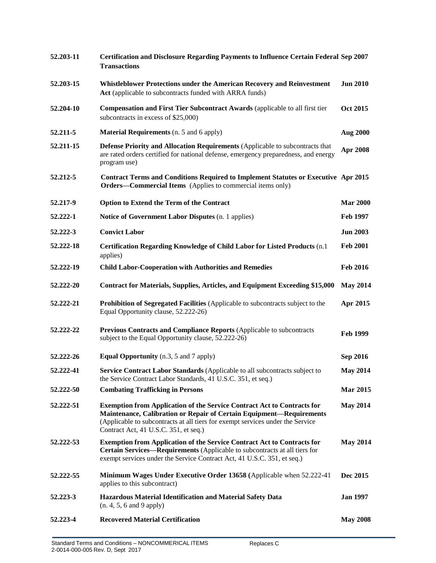| 52.203-11 | <b>Certification and Disclosure Regarding Payments to Influence Certain Federal Sep 2007</b><br><b>Transactions</b>                                                                                                                                                               |                 |
|-----------|-----------------------------------------------------------------------------------------------------------------------------------------------------------------------------------------------------------------------------------------------------------------------------------|-----------------|
| 52.203-15 | Whistleblower Protections under the American Recovery and Reinvestment<br>Act (applicable to subcontracts funded with ARRA funds)                                                                                                                                                 | <b>Jun 2010</b> |
| 52.204-10 | <b>Compensation and First Tier Subcontract Awards (applicable to all first tier</b><br>subcontracts in excess of \$25,000)                                                                                                                                                        | <b>Oct 2015</b> |
| 52.211-5  | <b>Material Requirements</b> (n. 5 and 6 apply)                                                                                                                                                                                                                                   | <b>Aug 2000</b> |
| 52.211-15 | Defense Priority and Allocation Requirements (Applicable to subcontracts that<br>are rated orders certified for national defense, emergency preparedness, and energy<br>program use)                                                                                              | Apr 2008        |
| 52.212-5  | <b>Contract Terms and Conditions Required to Implement Statutes or Executive Apr 2015</b><br><b>Orders—Commercial Items</b> (Applies to commercial items only)                                                                                                                    |                 |
| 52.217-9  | <b>Option to Extend the Term of the Contract</b>                                                                                                                                                                                                                                  | <b>Mar 2000</b> |
| 52.222-1  | Notice of Government Labor Disputes (n. 1 applies)                                                                                                                                                                                                                                | <b>Feb 1997</b> |
| 52.222-3  | <b>Convict Labor</b>                                                                                                                                                                                                                                                              | <b>Jun 2003</b> |
| 52.222-18 | Certification Regarding Knowledge of Child Labor for Listed Products (n.1)<br>applies)                                                                                                                                                                                            | <b>Feb 2001</b> |
| 52.222-19 | <b>Child Labor-Cooperation with Authorities and Remedies</b>                                                                                                                                                                                                                      | <b>Feb 2016</b> |
| 52.222-20 | <b>Contract for Materials, Supplies, Articles, and Equipment Exceeding \$15,000</b>                                                                                                                                                                                               | <b>May 2014</b> |
| 52.222-21 | Prohibition of Segregated Facilities (Applicable to subcontracts subject to the<br>Equal Opportunity clause, 52.222-26)                                                                                                                                                           | Apr 2015        |
| 52.222-22 | Previous Contracts and Compliance Reports (Applicable to subcontracts<br>subject to the Equal Opportunity clause, 52.222-26)                                                                                                                                                      | Feb 1999        |
| 52.222-26 | <b>Equal Opportunity</b> (n.3, 5 and 7 apply)                                                                                                                                                                                                                                     | Sep 2016        |
| 52.222-41 | Service Contract Labor Standards (Applicable to all subcontracts subject to<br>the Service Contract Labor Standards, 41 U.S.C. 351, et seq.)                                                                                                                                      | <b>May 2014</b> |
| 52.222-50 | <b>Combating Trafficking in Persons</b>                                                                                                                                                                                                                                           | <b>Mar 2015</b> |
| 52.222-51 | <b>Exemption from Application of the Service Contract Act to Contracts for</b><br>Maintenance, Calibration or Repair of Certain Equipment-Requirements<br>(Applicable to subcontracts at all tiers for exempt services under the Service<br>Contract Act, 41 U.S.C. 351, et seq.) | <b>May 2014</b> |
| 52.222-53 | <b>Exemption from Application of the Service Contract Act to Contracts for</b><br>Certain Services—Requirements (Applicable to subcontracts at all tiers for<br>exempt services under the Service Contract Act, 41 U.S.C. 351, et seq.)                                           | <b>May 2014</b> |
| 52.222-55 | Minimum Wages Under Executive Order 13658 (Applicable when 52.222-41<br>applies to this subcontract)                                                                                                                                                                              | Dec 2015        |
| 52.223-3  | Hazardous Material Identification and Material Safety Data<br>(n. 4, 5, 6, and 9, apply)                                                                                                                                                                                          | <b>Jan 1997</b> |
| 52.223-4  | <b>Recovered Material Certification</b>                                                                                                                                                                                                                                           | <b>May 2008</b> |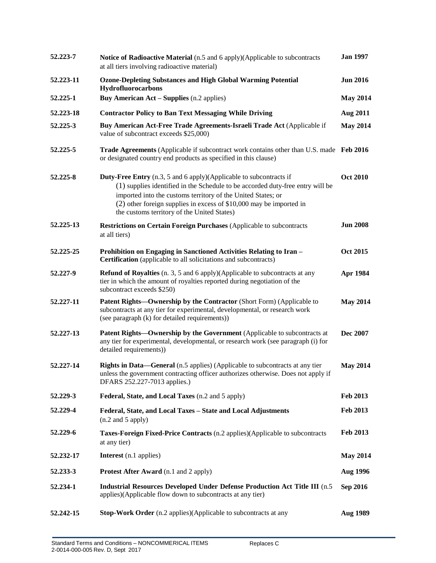| 52.223-7  | Notice of Radioactive Material (n.5 and 6 apply)(Applicable to subcontracts<br>at all tiers involving radioactive material)                                                                                                                                                                                                                         | <b>Jan 1997</b> |
|-----------|-----------------------------------------------------------------------------------------------------------------------------------------------------------------------------------------------------------------------------------------------------------------------------------------------------------------------------------------------------|-----------------|
| 52.223-11 | <b>Ozone-Depleting Substances and High Global Warming Potential</b><br>Hydrofluorocarbons                                                                                                                                                                                                                                                           | <b>Jun 2016</b> |
| 52.225-1  | <b>Buy American Act – Supplies (n.2 applies)</b>                                                                                                                                                                                                                                                                                                    | <b>May 2014</b> |
| 52.223-18 | <b>Contractor Policy to Ban Text Messaging While Driving</b>                                                                                                                                                                                                                                                                                        | <b>Aug 2011</b> |
| 52.225-3  | Buy American Act-Free Trade Agreements-Israeli Trade Act (Applicable if<br>value of subcontract exceeds \$25,000)                                                                                                                                                                                                                                   | <b>May 2014</b> |
| 52.225-5  | <b>Trade Agreements</b> (Applicable if subcontract work contains other than U.S. made Feb 2016<br>or designated country end products as specified in this clause)                                                                                                                                                                                   |                 |
| 52.225-8  | <b>Duty-Free Entry</b> (n.3, 5 and 6 apply)(Applicable to subcontracts if<br>(1) supplies identified in the Schedule to be accorded duty-free entry will be<br>imported into the customs territory of the United States; or<br>$(2)$ other foreign supplies in excess of \$10,000 may be imported in<br>the customs territory of the United States) | <b>Oct 2010</b> |
| 52.225-13 | <b>Restrictions on Certain Foreign Purchases</b> (Applicable to subcontracts<br>at all tiers)                                                                                                                                                                                                                                                       | <b>Jun 2008</b> |
| 52.225-25 | Prohibition on Engaging in Sanctioned Activities Relating to Iran -<br><b>Certification</b> (applicable to all solicitations and subcontracts)                                                                                                                                                                                                      | <b>Oct 2015</b> |
| 52.227-9  | <b>Refund of Royalties</b> (n. 3, 5 and 6 apply)(Applicable to subcontracts at any<br>tier in which the amount of royalties reported during negotiation of the<br>subcontract exceeds \$250)                                                                                                                                                        | Apr 1984        |
| 52.227-11 | Patent Rights-Ownership by the Contractor (Short Form) (Applicable to<br>subcontracts at any tier for experimental, developmental, or research work<br>(see paragraph (k) for detailed requirements))                                                                                                                                               | <b>May 2014</b> |
| 52.227-13 | Patent Rights-Ownership by the Government (Applicable to subcontracts at<br>any tier for experimental, developmental, or research work (see paragraph (i) for<br>detailed requirements))                                                                                                                                                            | Dec 2007        |
| 52.227-14 | Rights in Data—General (n.5 applies) (Applicable to subcontracts at any tier<br>unless the government contracting officer authorizes otherwise. Does not apply if<br>DFARS 252.227-7013 applies.)                                                                                                                                                   | <b>May 2014</b> |
| 52.229-3  | Federal, State, and Local Taxes (n.2 and 5 apply)                                                                                                                                                                                                                                                                                                   | Feb 2013        |
| 52.229-4  | Federal, State, and Local Taxes - State and Local Adjustments<br>$(n.2 \text{ and } 5 \text{ apply})$                                                                                                                                                                                                                                               | Feb 2013        |
| 52.229-6  | Taxes-Foreign Fixed-Price Contracts (n.2 applies)(Applicable to subcontracts<br>at any tier)                                                                                                                                                                                                                                                        | Feb 2013        |
| 52.232-17 | Interest (n.1 applies)                                                                                                                                                                                                                                                                                                                              | <b>May 2014</b> |
| 52.233-3  | <b>Protest After Award</b> (n.1 and 2 apply)                                                                                                                                                                                                                                                                                                        | <b>Aug 1996</b> |
| 52.234-1  | Industrial Resources Developed Under Defense Production Act Title III (n.5)<br>applies)(Applicable flow down to subcontracts at any tier)                                                                                                                                                                                                           | Sep 2016        |
| 52.242-15 | <b>Stop-Work Order</b> (n.2 applies)(Applicable to subcontracts at any                                                                                                                                                                                                                                                                              | Aug 1989        |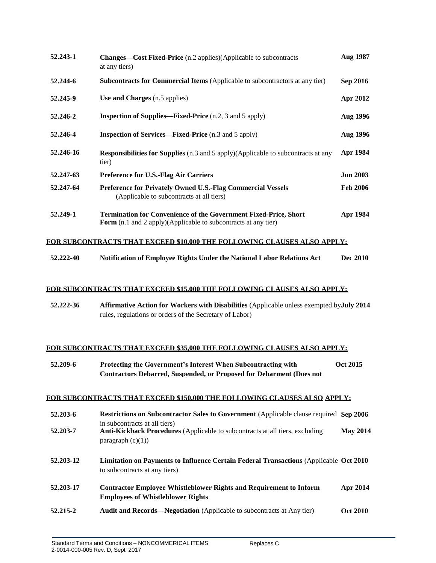| 52.243-1  | <b>Changes—Cost Fixed-Price</b> (n.2 applies)(Applicable to subcontracts<br>at any tiers)                                                 | Aug 1987        |
|-----------|-------------------------------------------------------------------------------------------------------------------------------------------|-----------------|
| 52.244-6  | <b>Subcontracts for Commercial Items</b> (Applicable to subcontractors at any tier)                                                       | <b>Sep 2016</b> |
| 52.245-9  | Use and Charges (n.5 applies)                                                                                                             | Apr 2012        |
| 52.246-2  | <b>Inspection of Supplies—Fixed-Price</b> (n.2, 3 and 5 apply)                                                                            | <b>Aug 1996</b> |
| 52.246-4  | <b>Inspection of Services—Fixed-Price</b> (n.3 and 5 apply)                                                                               | <b>Aug 1996</b> |
| 52.246-16 | <b>Responsibilities for Supplies</b> (n.3 and 5 apply)(Applicable to subcontracts at any<br>tier)                                         | Apr 1984        |
| 52.247-63 | <b>Preference for U.S.-Flag Air Carriers</b>                                                                                              | <b>Jun 2003</b> |
| 52.247-64 | <b>Preference for Privately Owned U.S.-Flag Commercial Vessels</b><br>(Applicable to subcontracts at all tiers)                           | <b>Feb 2006</b> |
| 52.249-1  | Termination for Convenience of the Government Fixed-Price, Short<br><b>Form</b> (n.1 and 2 apply)(Applicable to subcontracts at any tier) | Apr 1984        |

## **FOR SUBCONTRACTS THAT EXCEED \$10,000 THE FOLLOWING CLAUSES ALSO APPLY:**

**52.222-40 Notification of Employee Rights Under the National Labor Relations Act Dec 2010**

### **FOR SUBCONTRACTS THAT EXCEED \$15,000 THE FOLLOWING CLAUSES ALSO APPLY:**

**52.222-36 Affirmative Action for Workers with Disabilities** (Applicable unless exempted by **July 2014** rules, regulations or orders of the Secretary of Labor)

### **FOR SUBCONTRACTS THAT EXCEED \$35,000 THE FOLLOWING CLAUSES ALSO APPLY:**

| 52.209-6 | Protecting the Government's Interest When Subcontracting with               | <b>Oct 2015</b> |
|----------|-----------------------------------------------------------------------------|-----------------|
|          | <b>Contractors Debarred, Suspended, or Proposed for Debarment (Does not</b> |                 |

# (n.5 applies) **FOR SUBCONTRACTS THAT EXCEED \$150,000 THE FOLLOWING CLAUSES ALSO APPLY:**

| 52.203-6  | <b>Restrictions on Subcontractor Sales to Government</b> (Applicable clause required Sep 2006)<br>in subcontracts at all tiers) |                 |
|-----------|---------------------------------------------------------------------------------------------------------------------------------|-----------------|
| 52.203-7  | Anti-Kickback Procedures (Applicable to subcontracts at all tiers, excluding<br>paragraph $(c)(1)$                              | <b>May 2014</b> |
| 52.203-12 | Limitation on Payments to Influence Certain Federal Transactions (Applicable Oct 2010)<br>to subcontracts at any tiers)         |                 |
| 52.203-17 | <b>Contractor Employee Whistleblower Rights and Requirement to Inform</b><br><b>Employees of Whistleblower Rights</b>           | Apr 2014        |
| 52.215-2  | Audit and Records—Negotiation (Applicable to subcontracts at Any tier)                                                          | <b>Oct 2010</b> |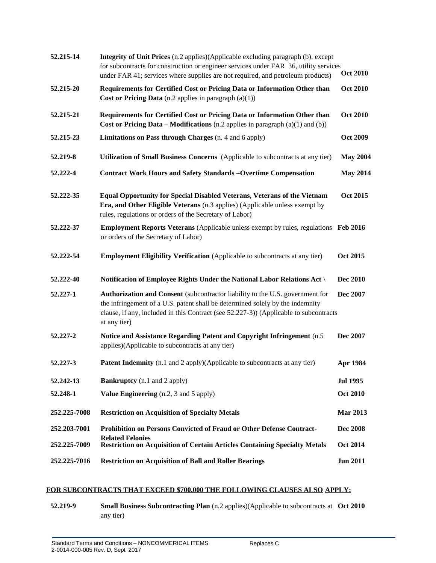| 52.215-14    | Integrity of Unit Prices (n.2 applies)(Applicable excluding paragraph (b), except<br>for subcontracts for construction or engineer services under FAR 36, utility services<br>under FAR 41; services where supplies are not required, and petroleum products)           | <b>Oct 2010</b> |
|--------------|-------------------------------------------------------------------------------------------------------------------------------------------------------------------------------------------------------------------------------------------------------------------------|-----------------|
| 52.215-20    | Requirements for Certified Cost or Pricing Data or Information Other than<br>Cost or Pricing Data (n.2 applies in paragraph $(a)(1)$ )                                                                                                                                  | <b>Oct 2010</b> |
| 52.215-21    | Requirements for Certified Cost or Pricing Data or Information Other than<br>Cost or Pricing Data – Modifications (n.2 applies in paragraph $(a)(1)$ and $(b)$ )                                                                                                        | <b>Oct 2010</b> |
| 52.215-23    | Limitations on Pass through Charges (n. 4 and 6 apply)                                                                                                                                                                                                                  | <b>Oct 2009</b> |
| 52.219-8     | Utilization of Small Business Concerns (Applicable to subcontracts at any tier)                                                                                                                                                                                         | <b>May 2004</b> |
| 52.222-4     | <b>Contract Work Hours and Safety Standards -Overtime Compensation</b>                                                                                                                                                                                                  | <b>May 2014</b> |
| 52.222-35    | <b>Equal Opportunity for Special Disabled Veterans, Veterans of the Vietnam</b><br>Era, and Other Eligible Veterans (n.3 applies) (Applicable unless exempt by<br>rules, regulations or orders of the Secretary of Labor)                                               | <b>Oct 2015</b> |
| 52.222-37    | <b>Employment Reports Veterans</b> (Applicable unless exempt by rules, regulations Feb 2016<br>or orders of the Secretary of Labor)                                                                                                                                     |                 |
| 52.222-54    | <b>Employment Eligibility Verification</b> (Applicable to subcontracts at any tier)                                                                                                                                                                                     | <b>Oct 2015</b> |
| 52.222-40    | Notification of Employee Rights Under the National Labor Relations Act \                                                                                                                                                                                                | Dec 2010        |
| 52.227-1     | Authorization and Consent (subcontractor liability to the U.S. government for<br>the infringement of a U.S. patent shall be determined solely by the indemnity<br>clause, if any, included in this Contract (see 52.227-3)) (Applicable to subcontracts<br>at any tier) | Dec 2007        |
| 52.227-2     | Notice and Assistance Regarding Patent and Copyright Infringement (n.5)<br>applies)(Applicable to subcontracts at any tier)                                                                                                                                             | Dec 2007        |
| 52.227-3     | <b>Patent Indemnity</b> (n.1 and 2 apply)(Applicable to subcontracts at any tier)                                                                                                                                                                                       | Apr 1984        |
| 52.242-13    | <b>Bankruptcy</b> (n.1 and 2 apply)                                                                                                                                                                                                                                     | <b>Jul 1995</b> |
| 52.248-1     | <b>Value Engineering</b> (n.2, 3 and 5 apply)                                                                                                                                                                                                                           | <b>Oct 2010</b> |
| 252,225-7008 | <b>Restriction on Acquisition of Specialty Metals</b>                                                                                                                                                                                                                   | <b>Mar 2013</b> |
| 252.203-7001 | Prohibition on Persons Convicted of Fraud or Other Defense Contract-                                                                                                                                                                                                    | <b>Dec 2008</b> |
| 252,225-7009 | <b>Related Felonies</b><br><b>Restriction on Acquisition of Certain Articles Containing Specialty Metals</b>                                                                                                                                                            | <b>Oct 2014</b> |
| 252.225-7016 | <b>Restriction on Acquisition of Ball and Roller Bearings</b>                                                                                                                                                                                                           | <b>Jun 2011</b> |

## **FOR SUBCONTRACTS THAT EXCEED \$700,000 THE FOLLOWING CLAUSES ALSO APPLY:**

**52.219-9 Small Business Subcontracting Plan** (n.2 applies)(Applicable to subcontracts at **Oct 2010**any tier)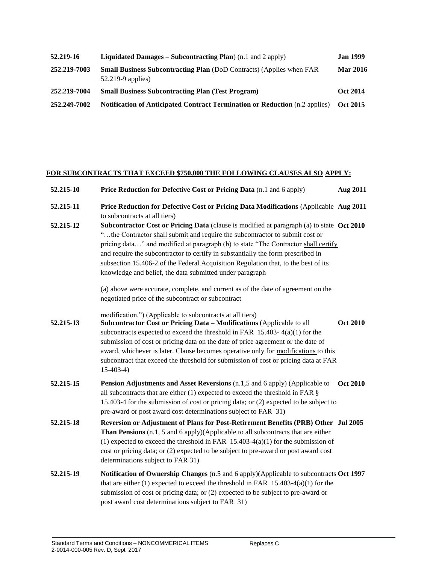| 52.219-16    | <b>Liquidated Damages – Subcontracting Plan</b> ) $(n, 1 \text{ and } 2 \text{ apply})$            | <b>Jan 1999</b> |
|--------------|----------------------------------------------------------------------------------------------------|-----------------|
| 252.219-7003 | <b>Small Business Subcontracting Plan</b> (DoD Contracts) (Applies when FAR<br>$52.219-9$ applies) | <b>Mar 2016</b> |
| 252.219-7004 | <b>Small Business Subcontracting Plan (Test Program)</b>                                           | <b>Oct 2014</b> |
| 252.249-7002 | <b>Notification of Anticipated Contract Termination or Reduction</b> (n.2 applies)                 | Oct 2015        |

# **FOR SUBCONTRACTS THAT EXCEED \$750,000 THE FOLLOWING CLAUSES ALSO APPLY:**

| 52.215-10 | Price Reduction for Defective Cost or Pricing Data (n.1 and 6 apply)                                                                                                                                                                                                                                                                                                                                                                                                                                                                                                                       | <b>Aug 2011</b> |
|-----------|--------------------------------------------------------------------------------------------------------------------------------------------------------------------------------------------------------------------------------------------------------------------------------------------------------------------------------------------------------------------------------------------------------------------------------------------------------------------------------------------------------------------------------------------------------------------------------------------|-----------------|
| 52.215-11 | Price Reduction for Defective Cost or Pricing Data Modifications (Applicable Aug 2011<br>to subcontracts at all tiers)                                                                                                                                                                                                                                                                                                                                                                                                                                                                     |                 |
| 52.215-12 | Subcontractor Cost or Pricing Data (clause is modified at paragraph (a) to state Oct 2010<br>"the Contractor shall submit and require the subcontractor to submit cost or<br>pricing data" and modified at paragraph (b) to state "The Contractor shall certify<br>and require the subcontractor to certify in substantially the form prescribed in<br>subsection 15.406-2 of the Federal Acquisition Regulation that, to the best of its<br>knowledge and belief, the data submitted under paragraph<br>(a) above were accurate, complete, and current as of the date of agreement on the |                 |
|           | negotiated price of the subcontract or subcontract                                                                                                                                                                                                                                                                                                                                                                                                                                                                                                                                         |                 |
| 52.215-13 | modification.") (Applicable to subcontracts at all tiers)<br>Subcontractor Cost or Pricing Data - Modifications (Applicable to all<br>subcontracts expected to exceed the threshold in FAR $15.403 - 4(a)(1)$ for the<br>submission of cost or pricing data on the date of price agreement or the date of<br>award, whichever is later. Clause becomes operative only for modifications to this<br>subcontract that exceed the threshold for submission of cost or pricing data at FAR<br>$15-403-4$                                                                                       | <b>Oct 2010</b> |
| 52.215-15 | Pension Adjustments and Asset Reversions (n.1,5 and 6 apply) (Applicable to<br>all subcontracts that are either $(1)$ expected to exceed the threshold in FAR $\S$<br>15.403-4 for the submission of cost or pricing data; or (2) expected to be subject to<br>pre-award or post award cost determinations subject to FAR 31)                                                                                                                                                                                                                                                              | <b>Oct 2010</b> |
| 52.215-18 | Reversion or Adjustment of Plans for Post-Retirement Benefits (PRB) Other Jul 2005<br>Than Pensions (n.1, 5 and 6 apply)(Applicable to all subcontracts that are either<br>(1) expected to exceed the threshold in FAR $15.403-4(a)(1)$ for the submission of<br>cost or pricing data; or (2) expected to be subject to pre-award or post award cost<br>determinations subject to FAR 31)                                                                                                                                                                                                  |                 |
| 52.215-19 | Notification of Ownership Changes (n.5 and 6 apply)(Applicable to subcontracts Oct 1997<br>that are either $(1)$ expected to exceed the threshold in FAR 15.403-4 $(a)(1)$ for the<br>submission of cost or pricing data; or (2) expected to be subject to pre-award or<br>post award cost determinations subject to FAR 31)                                                                                                                                                                                                                                                               |                 |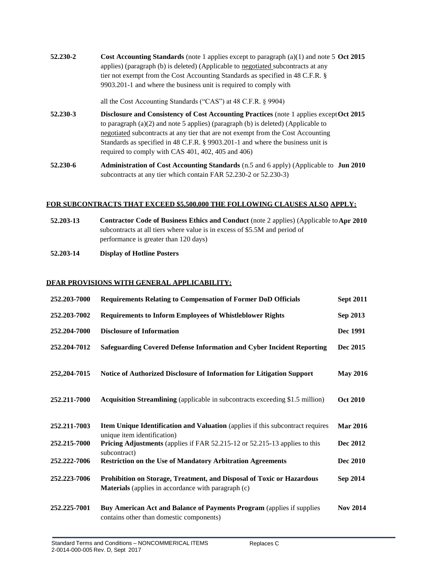**52.230-2 Cost Accounting Standards** (note 1 applies except to paragraph (a)(1) and note 5 **Oct 2015** applies) (paragraph (b) is deleted) (Applicable to negotiated subcontracts at any tier not exempt from the Cost Accounting Standards as specified in 48 C.F.R. § 9903.201-1 and where the business unit is required to comply with

all the Cost Accounting Standards ("CAS") at 48 C.F.R. § 9904)

- **52.230-3 Disclosure and Consistency of Cost Accounting Practices** (note 1 applies except Oct 2015 to paragraph (a)(2) and note 5 applies) (paragraph (b) is deleted) (Applicable to negotiated subcontracts at any tier that are not exempt from the Cost Accounting Standards as specified in 48 C.F.R. § 9903.201-1 and where the business unit is required to comply with CAS 401, 402, 405 and 406)
- **52.230-6 Administration of Cost Accounting Standards** (n.5 and 6 apply) (Applicable to **Jun 2010** subcontracts at any tier which contain FAR 52.230-2 or 52.230-3)

### **FOR SUBCONTRACTS THAT EXCEED \$5,500,000 THE FOLLOWING CLAUSES ALSO APPLY:**

| 52.203-13 | <b>Contractor Code of Business Ethics and Conduct</b> (note 2 applies) (Applicable to Apr 2010 |
|-----------|------------------------------------------------------------------------------------------------|
|           | subcontracts at all tiers where value is in excess of \$5.5M and period of                     |
|           | performance is greater than 120 days)                                                          |

**52.203-14 Display of Hotline Posters**

### **DFAR PROVISIONS WITH GENERAL APPLICABILITY:**

| 252.203-7000 | <b>Requirements Relating to Compensation of Former DoD Officials</b>                                                                | <b>Sept 2011</b> |
|--------------|-------------------------------------------------------------------------------------------------------------------------------------|------------------|
| 252.203-7002 | <b>Requirements to Inform Employees of Whistleblower Rights</b>                                                                     | Sep 2013         |
| 252.204-7000 | <b>Disclosure of Information</b>                                                                                                    | Dec 1991         |
| 252.204-7012 | Safeguarding Covered Defense Information and Cyber Incident Reporting                                                               | Dec 2015         |
| 252,204-7015 | Notice of Authorized Disclosure of Information for Litigation Support                                                               | <b>May 2016</b>  |
| 252.211-7000 | <b>Acquisition Streamlining</b> (applicable in subcontracts exceeding \$1.5 million)                                                | <b>Oct 2010</b>  |
| 252.211-7003 | Item Unique Identification and Valuation (applies if this subcontract requires<br>unique item identification)                       | <b>Mar 2016</b>  |
| 252,215-7000 | <b>Pricing Adjustments</b> (applies if FAR 52.215-12 or 52.215-13 applies to this<br>subcontract)                                   | Dec 2012         |
| 252.222-7006 | <b>Restriction on the Use of Mandatory Arbitration Agreements</b>                                                                   | <b>Dec 2010</b>  |
| 252.223-7006 | Prohibition on Storage, Treatment, and Disposal of Toxic or Hazardous<br><b>Materials</b> (applies in accordance with paragraph (c) | Sep 2014         |
| 252,225-7001 | Buy American Act and Balance of Payments Program (applies if supplies<br>contains other than domestic components)                   | <b>Nov 2014</b>  |